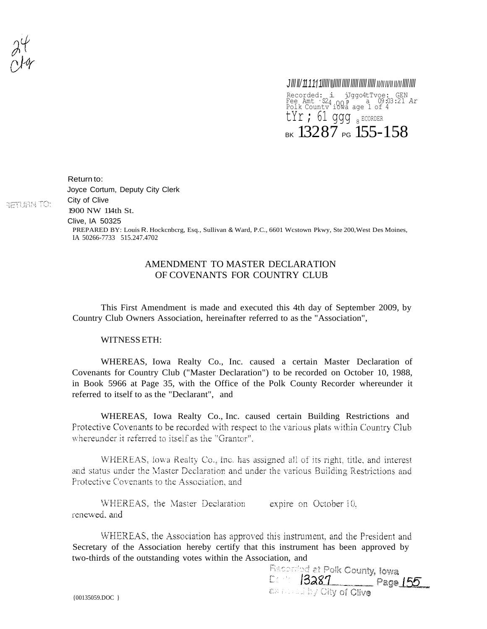**RETURN TO:** 

00 *Jlll ll/1111 1lllll* l *lllll lllll lllll lllll lllll II/IIII/II II/IIllll llll* Recorded: i jJggo4tTvoe: GEN Fee Amt · \$24 00 P <sup>39</sup> a 09:03:21 Ar<br>Polk Countv iowa age 1 of 4  $\texttt{tyr}$ ; 61 ggg  $_{8}$  Ecorder BK  $13287$  PG  $155-158$ 

Return to: Joyce Cortum, Deputy City Clerk City of Clive 1900 NW 114th St.

Clive, IA 50325

PREPARED BY: Louis R. Hockcnbcrg, Esq., Sullivan & Ward, P.C., 6601 Wcstown Pkwy, Ste 200,West Des Moines, IA 50266-7733 515.247.4702

## AMENDMENT TO MASTER DECLARATION OF COVENANTS FOR COUNTRY CLUB

This First Amendment is made and executed this 4th day of September 2009, by Country Club Owners Association, hereinafter referred to as the "Association",

WITNESSETH:

WHEREAS, Iowa Realty Co., Inc. caused a certain Master Declaration of Covenants for Country Club ("Master Declaration") to be recorded on October 10, 1988, in Book 5966 at Page 35, with the Office of the Polk County Recorder whereunder it referred to itself to as the "Declarant", and

WHEREAS, Iowa Realty Co., Inc. caused certain Building Restrictions and Protective Covenants to be recorded with respect to the various plats within Country Club whereunder it referred to itself as the "Grantor".

WHEREAS, lowa Realty Co., lnc. has assigned all of its right, title, and interest and status under the Master Declaration and under the various Building Restrictions and Protective Covenants to the Association, and

WHEREAS, the Master Declaration expire on October 10. renewed, and

WHEREAS, the Association has approved this instrument, and the President and Secretary of the Association hereby certify that this instrument has been approved by two-thirds of the outstanding votes within the Association, and<br>Recording at Polk County, lowa

Denis 13281 Page 155 **BAILLED OIN OF CINA** 

{00135059.DOC }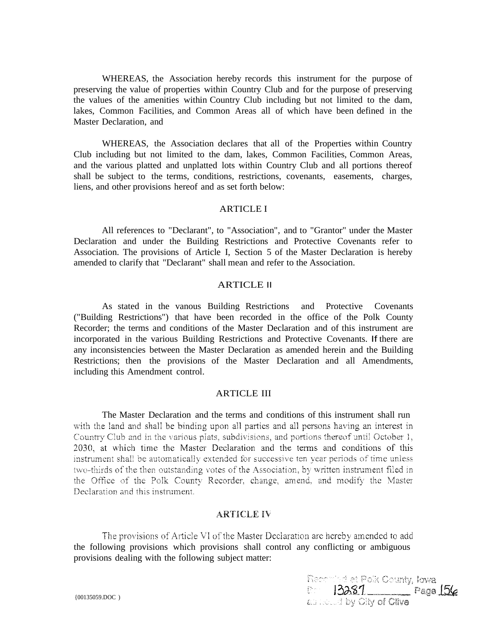WHEREAS, the Association hereby records this instrument for the purpose of preserving the value of properties within Country Club and for the purpose of preserving the values of the amenities within Country Club including but not limited to the dam, lakes, Common Facilities, and Common Areas all of which have been defined in the Master Declaration, and

WHEREAS, the Association declares that all of the Properties within Country Club including but not limited to the dam, lakes, Common Facilities, Common Areas, and the various platted and unplatted lots within Country Club and all portions thereof shall be subject to the terms, conditions, restrictions, covenants, easements, charges, liens, and other provisions hereof and as set forth below:

## ARTICLE I

All references to "Declarant", to "Association", and to "Grantor" under the Master Declaration and under the Building Restrictions and Protective Covenants refer to Association. The provisions of Article I, Section 5 of the Master Declaration is hereby amended to clarify that "Declarant" shall mean and refer to the Association.

## ARTICLE II

As stated in the vanous Building Restrictions and Protective Covenants ("Building Restrictions") that have been recorded in the office of the Polk County Recorder; the terms and conditions of the Master Declaration and of this instrument are incorporated in the various Building Restrictions and Protective Covenants. If there are any inconsistencies between the Master Declaration as amended herein and the Building Restrictions; then the provisions of the Master Declaration and all Amendments, including this Amendment control.

## ARTICLE III

The Master Declaration and the terms and conditions of this instrument shall run with the land and shall be binding upon all parties and all persons having an interest in Country Club and in the various plats, subdivisions, and portions thereof until October 1, 2030, at which time the Master Declaration and the terms and conditions of this instrument shall be automatically extended for successive ten year periods of time unless two-thirds of the then outstanding votes of the Association, by written instrument filed in the Office of the Polk County Recorder, change, amend, and modify the Master Declaration and this instrument.

## **ARTICLE IV**

The provisions of Article VI of the Master Declaration are hereby amended to add the following provisions which provisions shall control any conflicting or ambiguous provisions dealing with the following subject matter:

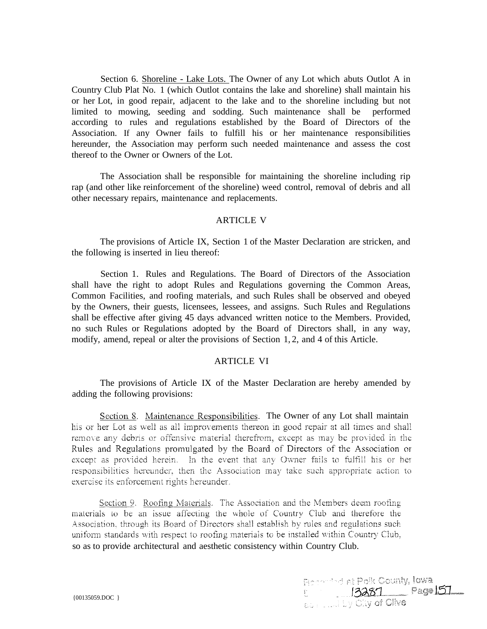Section 6. Shoreline - Lake Lots. The Owner of any Lot which abuts Outlot A in Country Club Plat No. 1 (which Outlot contains the lake and shoreline) shall maintain his or her Lot, in good repair, adjacent to the lake and to the shoreline including but not limited to mowing, seeding and sodding. Such maintenance shall be performed according to rules and regulations established by the Board of Directors of the Association. If any Owner fails to fulfill his or her maintenance responsibilities hereunder, the Association may perform such needed maintenance and assess the cost thereof to the Owner or Owners of the Lot.

The Association shall be responsible for maintaining the shoreline including rip rap (and other like reinforcement of the shoreline) weed control, removal of debris and all other necessary repairs, maintenance and replacements.

#### ARTICLE V

The provisions of Article IX, Section 1 of the Master Declaration are stricken, and the following is inserted in lieu thereof:

Section 1. Rules and Regulations. The Board of Directors of the Association shall have the right to adopt Rules and Regulations governing the Common Areas, Common Facilities, and roofing materials, and such Rules shall be observed and obeyed by the Owners, their guests, licensees, lessees, and assigns. Such Rules and Regulations shall be effective after giving 45 days advanced written notice to the Members. Provided, no such Rules or Regulations adopted by the Board of Directors shall, in any way, modify, amend, repeal or alter the provisions of Section 1, 2, and 4 of this Article.

#### ARTICLE VI

The provisions of Article IX of the Master Declaration are hereby amended by adding the following provisions:

Section 8. Maintenance Responsibilities. The Owner of any Lot shall maintain his or her Lot as well as all improvements thereon in good repair at all times and shall remove any debris or offensive material therefrom, except as may be provided in the Rules and Regulations promulgated by the Board of Directors of the Association or except as provided herein. In the event that any Owner fails to fulfill his or her responsibilities hereunder, then the Association may take such appropriate action to exercise its enforcement rights hereunder.

Section 9. Roofing Materials. The Association and the Members deem roofing materials to be an issue affecting the whole of Country Club and therefore the Association, through its Board of Directors shall establish by rules and regulations such uniform standards with respect to roofing materials to be installed within Country Club, so as to provide architectural and aesthetic consistency within Country Club.